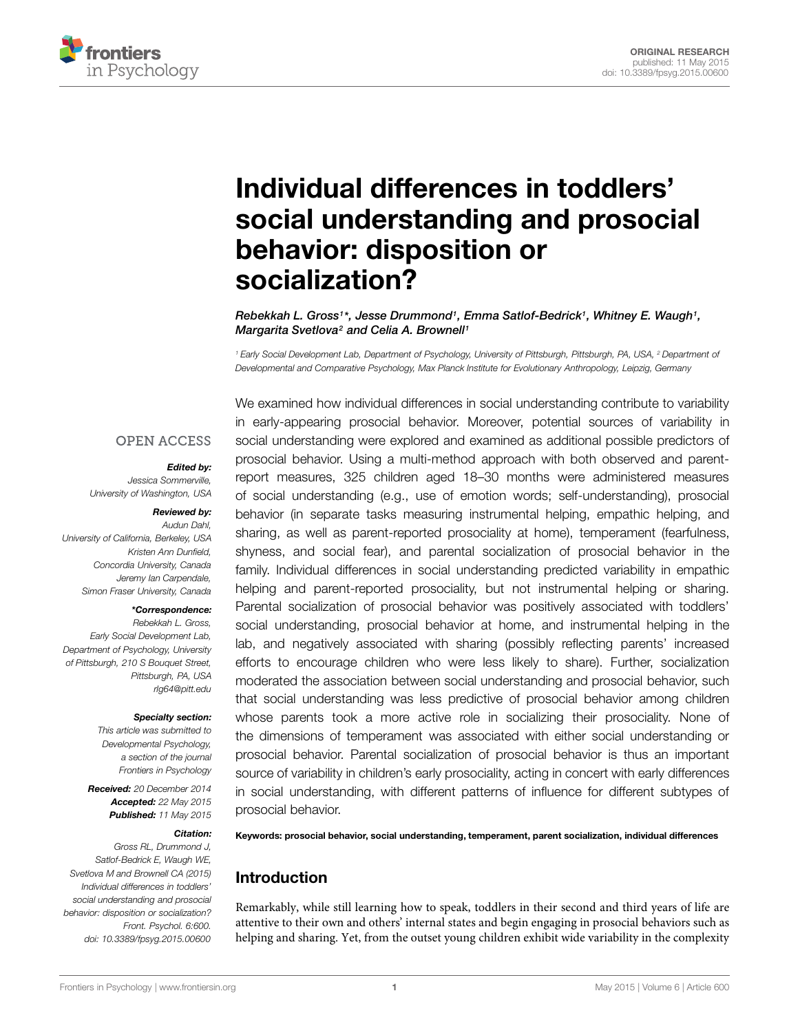

# Individual differences in toddlers' [social understanding and prosocial](http://journal.frontiersin.org/article/10.3389/fpsyg.2015.00600/abstract) behavior: disposition or socialization?

*[Rebekkah L. Gross1](http://community.frontiersin.org/people/u/185091)\*, [Jesse Drummond1](http://community.frontiersin.org/people/u/115829), [Emma Satlof-Bedrick1](http://community.frontiersin.org/people/u/210541), [Whitney E. Waugh1](http://community.frontiersin.org/people/u/154564), [Margarita Svetlova2](http://community.frontiersin.org/people/u/201658) and [Celia A. Brownell1](http://community.frontiersin.org/people/u/18314)*

*<sup>1</sup> Early Social Development Lab, Department of Psychology, University of Pittsburgh, Pittsburgh, PA, USA, <sup>2</sup> Department of Developmental and Comparative Psychology, Max Planck Institute for Evolutionary Anthropology, Leipzig, Germany*

#### **OPEN ACCESS**

#### *Edited by:*

*Jessica Sommerville, University of Washington, USA*

#### *Reviewed by:*

*Audun Dahl, University of California, Berkeley, USA Kristen Ann Dunfield, Concordia University, Canada Jeremy Ian Carpendale, Simon Fraser University, Canada*

#### *\*Correspondence:*

*Rebekkah L. Gross, Early Social Development Lab, Department of Psychology, University of Pittsburgh, 210 S Bouquet Street, Pittsburgh, PA, USA rlg64@pitt.edu*

#### *Specialty section:*

*This article was submitted to Developmental Psychology, a section of the journal Frontiers in Psychology*

*Received: 20 December 2014 Accepted: 22 May 2015 Published: 11 May 2015*

#### *Citation:*

*Gross RL, Drummond J, Satlof-Bedrick E, Waugh WE, Svetlova M and Brownell CA (2015) Individual differences in toddlers' social understanding and prosocial behavior: disposition or socialization? Front. Psychol. 6:600. doi: [10.3389/fpsyg.2015.00600](http://dx.doi.org/10.3389/fpsyg.2015.00600)*

We examined how individual differences in social understanding contribute to variability in early-appearing prosocial behavior. Moreover, potential sources of variability in social understanding were explored and examined as additional possible predictors of prosocial behavior. Using a multi-method approach with both observed and parentreport measures, 325 children aged 18–30 months were administered measures of social understanding (e.g., use of emotion words; self-understanding), prosocial behavior (in separate tasks measuring instrumental helping, empathic helping, and sharing, as well as parent-reported prosociality at home), temperament (fearfulness, shyness, and social fear), and parental socialization of prosocial behavior in the family. Individual differences in social understanding predicted variability in empathic helping and parent-reported prosociality, but not instrumental helping or sharing. Parental socialization of prosocial behavior was positively associated with toddlers' social understanding, prosocial behavior at home, and instrumental helping in the lab, and negatively associated with sharing (possibly reflecting parents' increased efforts to encourage children who were less likely to share). Further, socialization moderated the association between social understanding and prosocial behavior, such that social understanding was less predictive of prosocial behavior among children whose parents took a more active role in socializing their prosociality. None of the dimensions of temperament was associated with either social understanding or prosocial behavior. Parental socialization of prosocial behavior is thus an important source of variability in children's early prosociality, acting in concert with early differences in social understanding, with different patterns of influence for different subtypes of prosocial behavior.

Keywords: prosocial behavior, social understanding, temperament, parent socialization, individual differences

# Introduction

Remarkably, while still learning how to speak, toddlers in their second and third years of life are attentive to their own and others' internal states and begin engaging in prosocial behaviors such as helping and sharing. Yet, from the outset young children exhibit wide variability in the complexity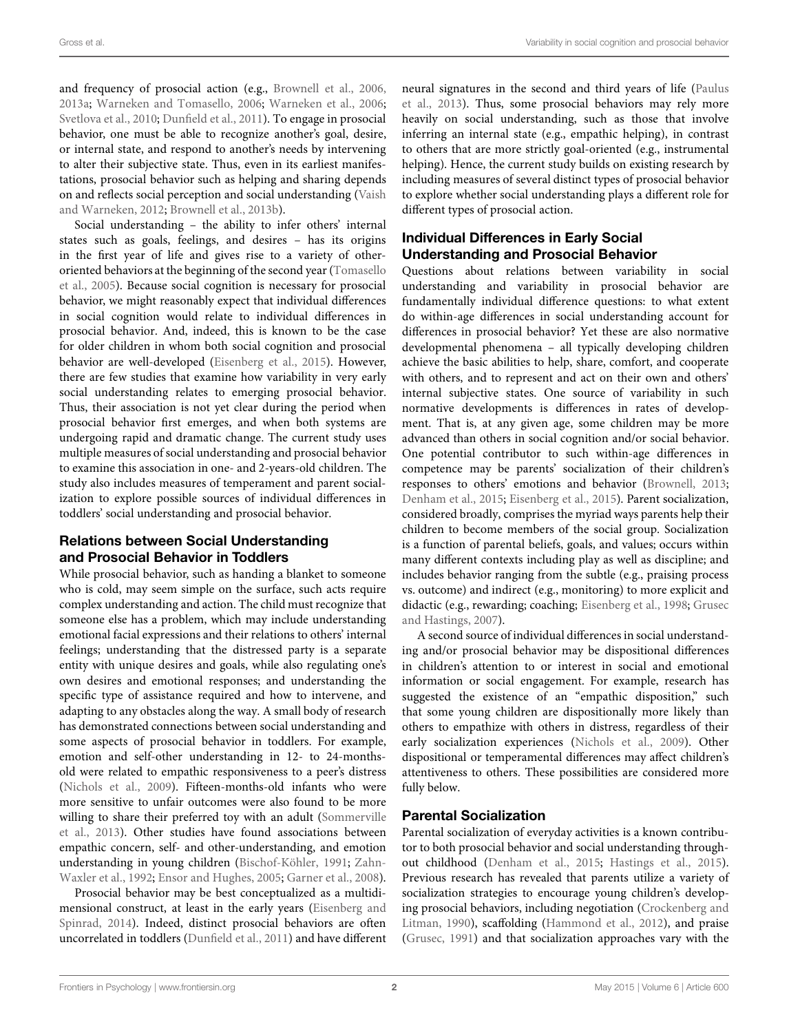and frequency of prosocial action (e.g., [Brownell et al., 2006](#page-9-0), [2013a](#page-9-1); [Warneken and Tomasello, 2006;](#page-10-0) [Warneken et al., 2006](#page-10-1); [Svetlova et al.](#page-10-2), [2010](#page-10-2); [Dunfield et al.](#page-9-2), [2011](#page-9-2)). To engage in prosocial behavior, one must be able to recognize another's goal, desire, or internal state, and respond to another's needs by intervening to alter their subjective state. Thus, even in its earliest manifestations, prosocial behavior such as helping and sharing depends on and reflects [social perception and social understanding \(](#page-10-3)Vaish and Warneken, [2012;](#page-10-3) [Brownell et al., 2013b](#page-9-3)).

Social understanding – the ability to infer others' internal states such as goals, feelings, and desires – has its origins in the first year of life and gives rise to a variety of otherorie[nted](#page-10-4) [behaviors](#page-10-4) [at](#page-10-4) [the](#page-10-4) [beginning](#page-10-4) [of](#page-10-4) [the](#page-10-4) [second](#page-10-4) [year](#page-10-4) [\(](#page-10-4)Tomasello et al., [2005](#page-10-4)). Because social cognition is necessary for prosocial behavior, we might reasonably expect that individual differences in social cognition would relate to individual differences in prosocial behavior. And, indeed, this is known to be the case for older children in whom both social cognition and prosocial behavior are well-developed [\(Eisenberg et al.](#page-9-4), [2015](#page-9-4)). However, there are few studies that examine how variability in very early social understanding relates to emerging prosocial behavior. Thus, their association is not yet clear during the period when prosocial behavior first emerges, and when both systems are undergoing rapid and dramatic change. The current study uses multiple measures of social understanding and prosocial behavior to examine this association in one- and 2-years-old children. The study also includes measures of temperament and parent socialization to explore possible sources of individual differences in toddlers' social understanding and prosocial behavior.

# Relations between Social Understanding and Prosocial Behavior in Toddlers

While prosocial behavior, such as handing a blanket to someone who is cold, may seem simple on the surface, such acts require complex understanding and action. The child must recognize that someone else has a problem, which may include understanding emotional facial expressions and their relations to others' internal feelings; understanding that the distressed party is a separate entity with unique desires and goals, while also regulating one's own desires and emotional responses; and understanding the specific type of assistance required and how to intervene, and adapting to any obstacles along the way. A small body of research has demonstrated connections between social understanding and some aspects of prosocial behavior in toddlers. For example, emotion and self-other understanding in 12- to 24-monthsold were related to empathic responsiveness to a peer's distress [\(Nichols et al., 2009](#page-10-5)). Fifteen-months-old infants who were more sensitive to unfair outcomes were also found to be more willi[ng to share their preferred toy with an adult \(](#page-10-6)Sommerville et al., [2013](#page-10-6)). Other studies have found associations between empathic concern, self- and other-understanding, and emotion understandi[ng](#page-10-7) [in](#page-10-7) [young](#page-10-7) [children](#page-10-7) [\(Bischof-Köhler](#page-9-5)[,](#page-10-7) [1991](#page-9-5)[;](#page-10-7) Zahn-Waxler et al., [1992;](#page-10-7) [Ensor and Hughes, 2005](#page-9-6); [Garner et al., 2008](#page-9-7)).

Prosocial behavior may be best conceptualized as a multidimensio[nal construct, at least in the early years \(](#page-9-8)Eisenberg and Spinrad, [2014](#page-9-8)). Indeed, distinct prosocial behaviors are often uncorrelated in toddlers [\(Dunfield et al.](#page-9-2), [2011\)](#page-9-2) and have different

neur[al signatures in the second and third years of life \(](#page-10-8)Paulus et al., [2013\)](#page-10-8). Thus, some prosocial behaviors may rely more heavily on social understanding, such as those that involve inferring an internal state (e.g., empathic helping), in contrast to others that are more strictly goal-oriented (e.g., instrumental helping). Hence, the current study builds on existing research by including measures of several distinct types of prosocial behavior to explore whether social understanding plays a different role for different types of prosocial action.

# Individual Differences in Early Social Understanding and Prosocial Behavior

Questions about relations between variability in social understanding and variability in prosocial behavior are fundamentally individual difference questions: to what extent do within-age differences in social understanding account for differences in prosocial behavior? Yet these are also normative developmental phenomena – all typically developing children achieve the basic abilities to help, share, comfort, and cooperate with others, and to represent and act on their own and others' internal subjective states. One source of variability in such normative developments is differences in rates of development. That is, at any given age, some children may be more advanced than others in social cognition and/or social behavior. One potential contributor to such within-age differences in competence may be parents' socialization of their children's responses to others' emotions and behavior [\(Brownell, 2013](#page-9-9); [Denham et al.](#page-9-10), [2015;](#page-9-10) [Eisenberg et al.](#page-9-4), [2015](#page-9-4)). Parent socialization, considered broadly, comprises the myriad ways parents help their children to become members of the social group. Socialization is a function of parental beliefs, goals, and values; occurs within many different contexts including play as well as discipline; and includes behavior ranging from the subtle (e.g., praising process vs. outcome) and indirect (e.g., monitoring) to more explicit and didactic (e.g.[, rewarding; coaching;](#page-9-12) [Eisenberg et al.](#page-9-11), [1998;](#page-9-11) Grusec and Hastings, [2007\)](#page-9-12).

A second source of individual differences in social understanding and/or prosocial behavior may be dispositional differences in children's attention to or interest in social and emotional information or social engagement. For example, research has suggested the existence of an "empathic disposition," such that some young children are dispositionally more likely than others to empathize with others in distress, regardless of their early socialization experiences [\(Nichols et al.](#page-10-5), [2009](#page-10-5)). Other dispositional or temperamental differences may affect children's attentiveness to others. These possibilities are considered more fully below.

# Parental Socialization

Parental socialization of everyday activities is a known contributor to both prosocial behavior and social understanding throughout childhood [\(Denham et al., 2015](#page-9-10); [Hastings et al.](#page-10-9), [2015\)](#page-10-9). Previous research has revealed that parents utilize a variety of socialization strategies to encourage young children's developing pr[osocial behaviors, including negotiation \(](#page-9-13)Crockenberg and Litman, [1990](#page-9-13)), scaffolding [\(Hammond et al., 2012\)](#page-9-14), and praise [\(Grusec, 1991](#page-9-15)) and that socialization approaches vary with the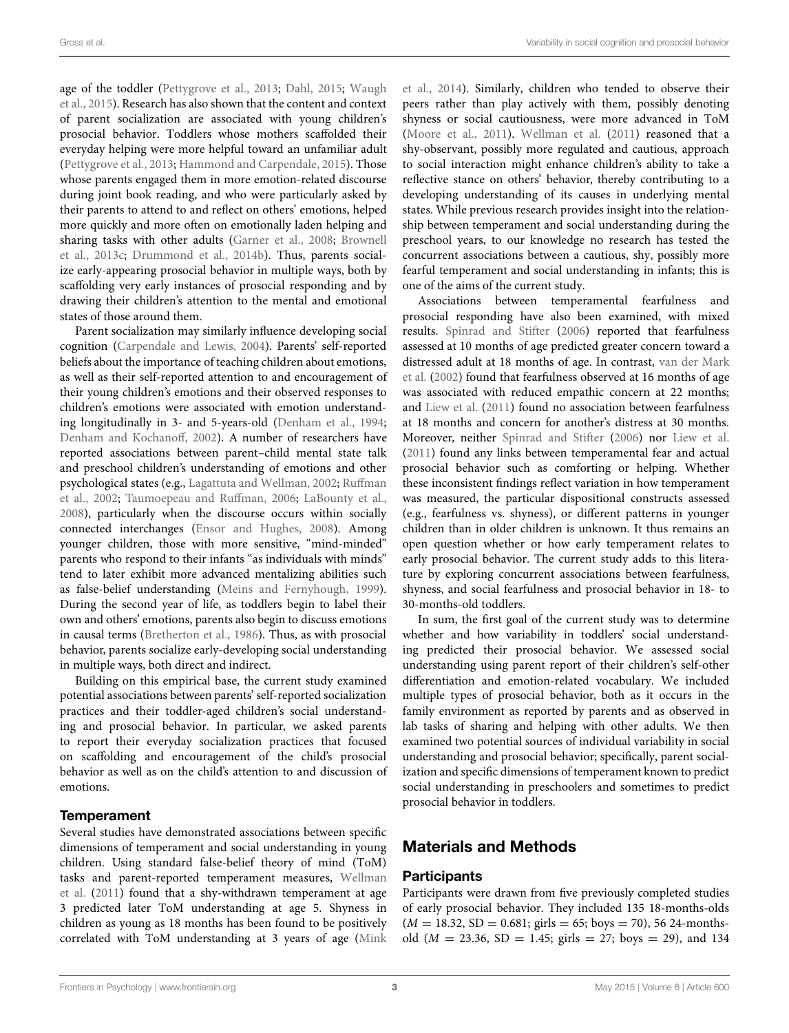age [of the toddler](#page-10-11) [\(Pettygrove et al.](#page-10-10)[,](#page-10-11) [2013](#page-10-10)[;](#page-10-11) [Dahl](#page-9-16), [2015](#page-9-16); Waugh et al., [2015\)](#page-10-11). Research has also shown that the content and context of parent socialization are associated with young children's prosocial behavior. Toddlers whose mothers scaffolded their everyday helping were more helpful toward an unfamiliar adult [\(Pettygrove et al., 2013;](#page-10-10) [Hammond and Carpendale](#page-9-17), [2015](#page-9-17)). Those whose parents engaged them in more emotion-related discourse during joint book reading, and who were particularly asked by their parents to attend to and reflect on others' emotions, helped more quickly and more often on emotionally laden helping and shari[ng tasks with other adults](#page-9-18) [\(Garner et al.](#page-9-7)[,](#page-9-18) [2008](#page-9-7)[;](#page-9-18) Brownell et al., [2013c](#page-9-18); [Drummond et al., 2014b](#page-9-19)). Thus, parents socialize early-appearing prosocial behavior in multiple ways, both by scaffolding very early instances of prosocial responding and by drawing their children's attention to the mental and emotional states of those around them.

Parent socialization may similarly influence developing social cognition [\(Carpendale and Lewis](#page-9-20), [2004](#page-9-20)). Parents' self-reported beliefs about the importance of teaching children about emotions, as well as their self-reported attention to and encouragement of their young children's emotions and their observed responses to children's emotions were associated with emotion understanding longitudinally in 3- and 5-years-old [\(Denham et al., 1994;](#page-9-21) [Denham and Kochanoff, 2002\)](#page-9-22). A number of researchers have reported associations between parent–child mental state talk and preschool children's understanding of emotions and other psychological states (e.g., [Lagattuta and Wellman](#page-10-12)[,](#page-10-13) [2002](#page-10-12)[;](#page-10-13) Ruffman et al., [2002;](#page-10-13) [Taumoepeau and Ruffman](#page-10-14), [2006](#page-10-14); [LaBounty et al.,](#page-10-15) [2008](#page-10-15)), particularly when the discourse occurs within socially connected interchanges [\(Ensor and Hughes, 2008\)](#page-9-23). Among younger children, those with more sensitive, "mind-minded" parents who respond to their infants "as individuals with minds" tend to later exhibit more advanced mentalizing abilities such as false-belief understanding [\(Meins and Fernyhough](#page-10-16), [1999](#page-10-16)). During the second year of life, as toddlers begin to label their own and others' emotions, parents also begin to discuss emotions in causal terms [\(Bretherton et al., 1986\)](#page-9-24). Thus, as with prosocial behavior, parents socialize early-developing social understanding in multiple ways, both direct and indirect.

Building on this empirical base, the current study examined potential associations between parents' self-reported socialization practices and their toddler-aged children's social understanding and prosocial behavior. In particular, we asked parents to report their everyday socialization practices that focused on scaffolding and encouragement of the child's prosocial behavior as well as on the child's attention to and discussion of emotions.

### **Temperament**

Several studies have demonstrated associations between specific dimensions of temperament and social understanding in young children. Using standard false-belief theory of mind (ToM) tasks [and parent-reported temperament measures,](#page-10-17) Wellman et al. [\(2011](#page-10-17)) found that a shy-withdrawn temperament at age 3 predicted later ToM understanding at age 5. Shyness in children as young as 18 months has been found to be positively correlated with ToM understanding at 3 years of age (Mink et al., [2014\)](#page-10-18). Similarly, children who tended to observe their peers rather than play actively with them, possibly denoting shyness or social cautiousness, were more advanced in ToM [\(Moore et al.](#page-10-19), [2011](#page-10-19)). [Wellman et al.](#page-10-17) [\(2011\)](#page-10-17) reasoned that a shy-observant, possibly more regulated and cautious, approach to social interaction might enhance children's ability to take a reflective stance on others' behavior, thereby contributing to a developing understanding of its causes in underlying mental states. While previous research provides insight into the relationship between temperament and social understanding during the preschool years, to our knowledge no research has tested the concurrent associations between a cautious, shy, possibly more fearful temperament and social understanding in infants; this is one of the aims of the current study.

Associations between temperamental fearfulness and prosocial responding have also been examined, with mixed results. [Spinrad and Stifter](#page-10-20) [\(2006\)](#page-10-20) reported that fearfulness assessed at 10 months of age predicted greater concern toward a distr[essed adult at 18 months of age. In contrast,](#page-10-21) van der Mark et al. [\(2002\)](#page-10-21) found that fearfulness observed at 16 months of age was associated with reduced empathic concern at 22 months; and [Liew et al.](#page-10-22) [\(2011](#page-10-22)) found no association between fearfulness at 18 months and concern for another's distress at 30 months. Moreover, neither [Spinrad and Stifter](#page-10-20) [\(2006\)](#page-10-20) nor [Liew et al.](#page-10-22) [\(2011](#page-10-22)) found any links between temperamental fear and actual prosocial behavior such as comforting or helping. Whether these inconsistent findings reflect variation in how temperament was measured, the particular dispositional constructs assessed (e.g., fearfulness vs. shyness), or different patterns in younger children than in older children is unknown. It thus remains an open question whether or how early temperament relates to early prosocial behavior. The current study adds to this literature by exploring concurrent associations between fearfulness, shyness, and social fearfulness and prosocial behavior in 18- to 30-months-old toddlers.

In sum, the first goal of the current study was to determine whether and how variability in toddlers' social understanding predicted their prosocial behavior. We assessed social understanding using parent report of their children's self-other differentiation and emotion-related vocabulary. We included multiple types of prosocial behavior, both as it occurs in the family environment as reported by parents and as observed in lab tasks of sharing and helping with other adults. We then examined two potential sources of individual variability in social understanding and prosocial behavior; specifically, parent socialization and specific dimensions of temperament known to predict social understanding in preschoolers and sometimes to predict prosocial behavior in toddlers.

# Materials and Methods

### **Participants**

Participants were drawn from five previously completed studies of early prosocial behavior. They included 135 18-months-olds  $(M = 18.32, SD = 0.681; girls = 65; boys = 70)$ , 56 24-monthsold  $(M = 23.36, SD = 1.45; girls = 27; boys = 29)$ , and 134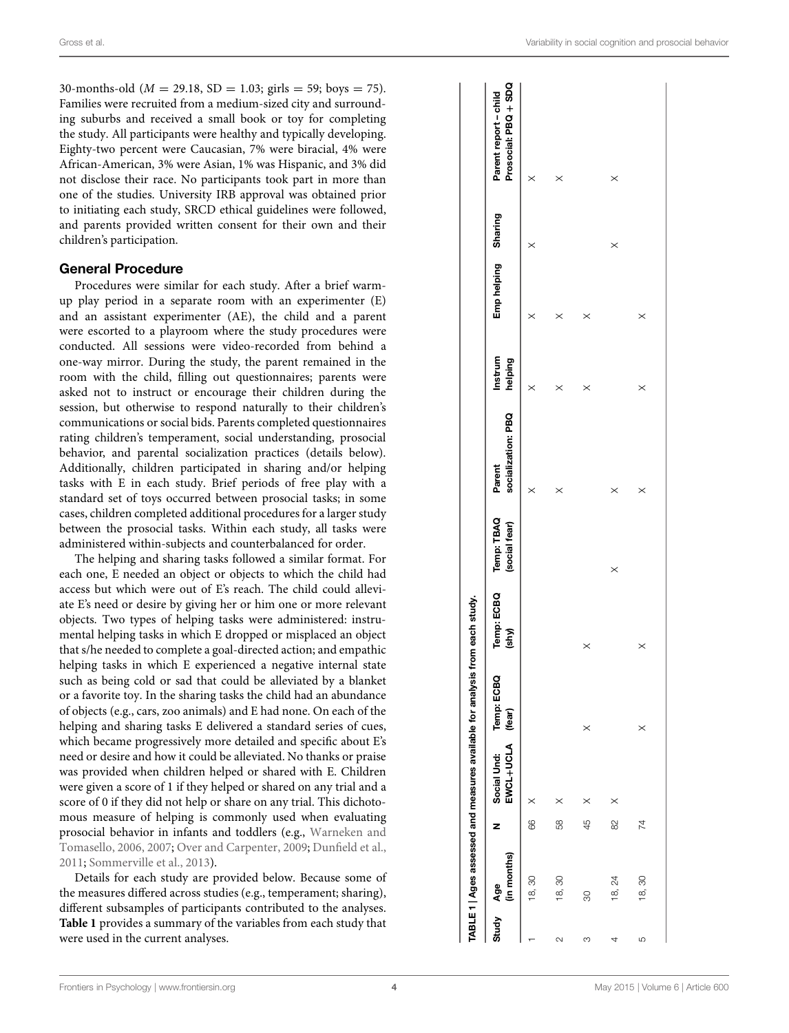30-months-old ( $M = 29.18$ ,  $SD = 1.03$ ; girls = 59; boys = 75). Families were recruited from a medium-sized city and surrounding suburbs and received a small book or toy for completing the study. All participants were healthy and typically developing. Eighty-two percent were Caucasian, 7% were biracial, 4% were African-American, 3% were Asian, 1% was Hispanic, and 3% did not disclose their race. No participants took part in more than one of the studies. University IRB approval was obtained prior to initiating each study, SRCD ethical guidelines were followed, and parents provided written consent for their own and their children's participation.

### General Procedure

Procedures were similar for each study. After a brief warmup play period in a separate room with an experimenter (E) and an assistant experimenter (AE), the child and a parent were escorted to a playroom where the study procedures were conducted. All sessions were video-recorded from behind a one-way mirror. During the study, the parent remained in the room with the child, filling out questionnaires; parents were asked not to instruct or encourage their children during the session, but otherwise to respond naturally to their children's communications or social bids. Parents completed questionnaires rating children's temperament, social understanding, prosocial behavior, and parental socialization practices (details below). Additionally, children participated in sharing and/or helping tasks with E in each study. Brief periods of free play with a standard set of toys occurred between prosocial tasks; in some cases, children completed additional procedures for a larger study between the prosocial tasks. Within each study, all tasks were administered within-subjects and counterbalanced for order.

The helping and sharing tasks followed a similar format. For each one, E needed an object or objects to which the child had access but which were out of E's reach. The child could alleviate E's need or desire by giving her or him one or more relevant objects. Two types of helping tasks were administered: instrumental helping tasks in which E dropped or misplaced an object that s/he needed to complete a goal-directed action; and empathic helping tasks in which E experienced a negative internal state such as being cold or sad that could be alleviated by a blanket or a favorite toy. In the sharing tasks the child had an abundance of objects (e.g., cars, zoo animals) and E had none. On each of the helping and sharing tasks E delivered a standard series of cues, which became progressively more detailed and specific about E's need or desire and how it could be alleviated. No thanks or praise was provided when children helped or shared with E. Children were given a score of 1 if they helped or shared on any trial and a score of 0 if they did not help or share on any trial. This dichotomous measure of helping is commonly used when evaluating prosocial [behavior](#page-10-0) [in](#page-10-0) [infants](#page-10-0) [and](#page-10-0) [toddlers](#page-10-0) [\(e.g.,](#page-10-0) Warneken and Tomasello, [2006,](#page-10-0) [2007](#page-10-23); [Over and Carpenter, 2009;](#page-10-24) [Dunfield et al.](#page-9-2), [2011](#page-9-2); [Sommerville et al., 2013](#page-10-6)).

<span id="page-3-0"></span>Details for each study are provided below. Because some of the measures differed across studies (e.g., temperament; sharing), different subsamples of participants contributed to the analyses. **[Table 1](#page-3-0)** provides a summary of the variables from each study that were used in the current analyses.

|           |             |    |                                 | TABLE 1   Ages assessed and measures available for analysis from each study. |                     |                             |                              |                    |                    |          |                                               |
|-----------|-------------|----|---------------------------------|------------------------------------------------------------------------------|---------------------|-----------------------------|------------------------------|--------------------|--------------------|----------|-----------------------------------------------|
| Study Age | (in months) | z  | EWCL+UCLA (fear)<br>Social Und: | Temp: ECBQ                                                                   | Temp: ECBQ<br>(shy) | Temp: TBAQ<br>(social fear) | socialization: PBQ<br>Parent | Instrum<br>helping | Emphelping Sharing |          | Prosocial: PBQ + SDQ<br>Parent report - child |
|           | 18,30       | 88 | $\times$                        |                                                                              |                     |                             | $\times$                     | $\times$           | $\times$           | $\times$ |                                               |
| $\sim$    | 18, 30      | 58 | $\times$                        |                                                                              |                     |                             | $\times$                     | $\times$           | $\times$           |          | $\times$                                      |
| က         | 80          | 45 | $\times$                        | $\times$                                                                     | $\times$            |                             |                              | $\times$           | $\times$           |          |                                               |
| 4         | 18, 24      | 8  | $\times$                        |                                                                              |                     | $\times$                    | $\times$                     |                    |                    | $\times$ | $\times$                                      |
| 5         | 18, 30      | 74 |                                 | $\times$                                                                     | $\times$            |                             | $\times$                     | $\times$           | $\times$           |          |                                               |
|           |             |    |                                 |                                                                              |                     |                             |                              |                    |                    |          |                                               |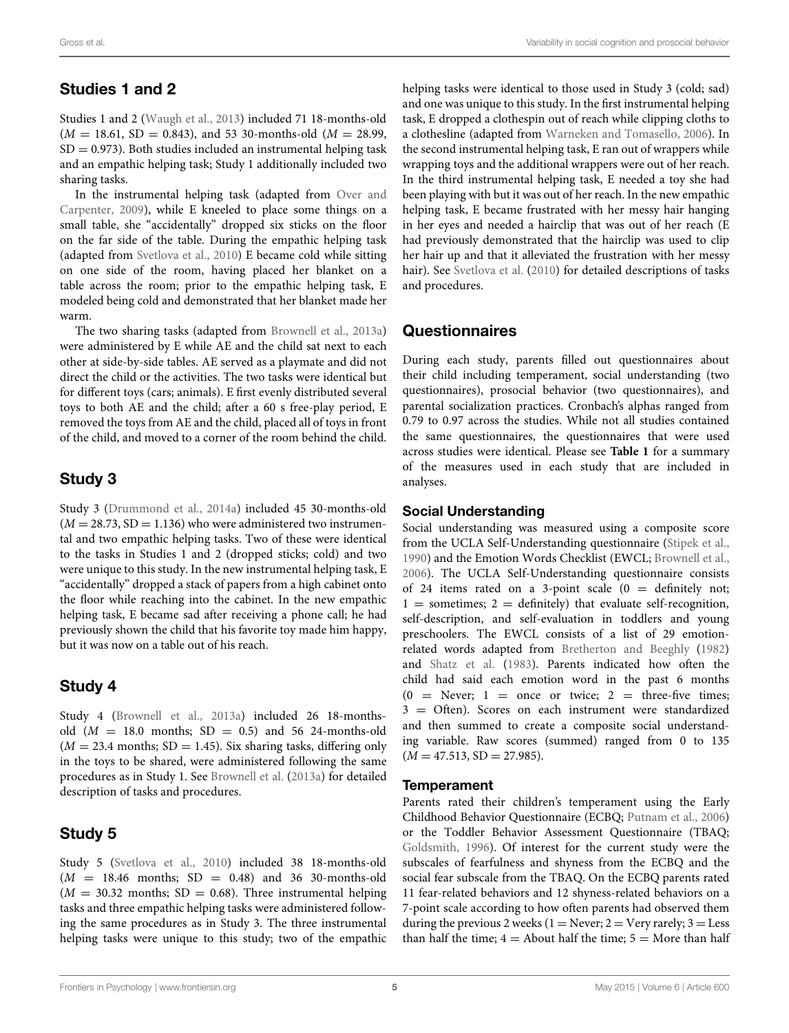# Studies 1 and 2

Studies 1 and 2 [\(Waugh et al.](#page-10-25), [2013](#page-10-25)) included 71 18-months-old  $(M = 18.61, SD = 0.843)$ , and 53 30-months-old  $(M = 28.99,$  $SD = 0.973$ . Both studies included an instrumental helping task and an empathic helping task; Study 1 additionally included two sharing tasks.

In the [instrumental helping task \(adapted from](#page-10-24) Over and Carpenter, [2009](#page-10-24)), while E kneeled to place some things on a small table, she "accidentally" dropped six sticks on the floor on the far side of the table. During the empathic helping task (adapted from [Svetlova et al.](#page-10-2), [2010](#page-10-2)) E became cold while sitting on one side of the room, having placed her blanket on a table across the room; prior to the empathic helping task, E modeled being cold and demonstrated that her blanket made her warm.

The two sharing tasks (adapted from [Brownell et al., 2013a\)](#page-9-1) were administered by E while AE and the child sat next to each other at side-by-side tables. AE served as a playmate and did not direct the child or the activities. The two tasks were identical but for different toys (cars; animals). E first evenly distributed several toys to both AE and the child; after a 60 s free-play period, E removed the toys from AE and the child, placed all of toys in front of the child, and moved to a corner of the room behind the child.

# Study 3

Study 3 [\(Drummond et al.](#page-9-25), [2014a\)](#page-9-25) included 45 30-months-old  $(M = 28.73, SD = 1.136)$  who were administered two instrumental and two empathic helping tasks. Two of these were identical to the tasks in Studies 1 and 2 (dropped sticks; cold) and two were unique to this study. In the new instrumental helping task, E "accidentally" dropped a stack of papers from a high cabinet onto the floor while reaching into the cabinet. In the new empathic helping task, E became sad after receiving a phone call; he had previously shown the child that his favorite toy made him happy, but it was now on a table out of his reach.

# Study 4

Study 4 [\(Brownell et al., 2013a\)](#page-9-1) included 26 18-monthsold  $(M = 18.0 \text{ months}; SD = 0.5)$  and 56 24-months-old  $(M = 23.4$  months; SD = 1.45). Six sharing tasks, differing only in the toys to be shared, were administered following the same procedures as in Study 1. See [Brownell et al.](#page-9-1) [\(2013a](#page-9-1)) for detailed description of tasks and procedures.

# Study 5

Study 5 [\(Svetlova et al.](#page-10-2), [2010](#page-10-2)) included 38 18-months-old  $(M = 18.46$  months;  $SD = 0.48$ ) and 36 30-months-old  $(M = 30.32 \text{ months}; SD = 0.68)$ . Three instrumental helping tasks and three empathic helping tasks were administered following the same procedures as in Study 3. The three instrumental helping tasks were unique to this study; two of the empathic

helping tasks were identical to those used in Study 3 (cold; sad) and one was unique to this study. In the first instrumental helping task, E dropped a clothespin out of reach while clipping cloths to a clothesline (adapted from [Warneken and Tomasello](#page-10-0), [2006](#page-10-0)). In the second instrumental helping task, E ran out of wrappers while wrapping toys and the additional wrappers were out of her reach. In the third instrumental helping task, E needed a toy she had been playing with but it was out of her reach. In the new empathic helping task, E became frustrated with her messy hair hanging in her eyes and needed a hairclip that was out of her reach (E had previously demonstrated that the hairclip was used to clip her hair up and that it alleviated the frustration with her messy hair). See [Svetlova et al.](#page-10-2) [\(2010](#page-10-2)) for detailed descriptions of tasks and procedures.

# Questionnaires

During each study, parents filled out questionnaires about their child including temperament, social understanding (two questionnaires), prosocial behavior (two questionnaires), and parental socialization practices. Cronbach's alphas ranged from 0.79 to 0.97 across the studies. While not all studies contained the same questionnaires, the questionnaires that were used across studies were identical. Please see **[Table 1](#page-3-0)** for a summary of the measures used in each study that are included in analyses.

### Social Understanding

Social understanding was measured using a composite score from the UCLA Self-Understanding questionnaire [\(Stipek et al.](#page-10-26), [1990](#page-10-26)) and the Emotion Words Checklist (EWCL; [Brownell et al.](#page-9-0), [2006](#page-9-0)). The UCLA Self-Understanding questionnaire consists of 24 items rated on a 3-point scale  $(0 =$  definitely not;  $1 =$  sometimes;  $2 =$  definitely) that evaluate self-recognition, self-description, and self-evaluation in toddlers and young preschoolers. The EWCL consists of a list of 29 emotionrelated words adapted from [Bretherton and Beeghly](#page-9-26) [\(1982](#page-9-26)) and [Shatz et al.](#page-10-27) [\(1983](#page-10-27)). Parents indicated how often the child had said each emotion word in the past 6 months  $(0 = \text{Never}; 1 = \text{once} \text{or twice}; 2 = \text{three-five times};$ 3 = Often). Scores on each instrument were standardized and then summed to create a composite social understanding variable. Raw scores (summed) ranged from 0 to 135  $(M = 47.513, SD = 27.985).$ 

### **Temperament**

Parents rated their children's temperament using the Early Childhood Behavior Questionnaire (ECBQ; [Putnam et al.](#page-10-28), [2006](#page-10-28)) or the Toddler Behavior Assessment Questionnaire (TBAQ; [Goldsmith, 1996](#page-9-27)). Of interest for the current study were the subscales of fearfulness and shyness from the ECBQ and the social fear subscale from the TBAQ. On the ECBQ parents rated 11 fear-related behaviors and 12 shyness-related behaviors on a 7-point scale according to how often parents had observed them during the previous 2 weeks ( $1 =$  Never;  $2 =$  Very rarely;  $3 =$  Less than half the time;  $4 =$  About half the time;  $5 =$  More than half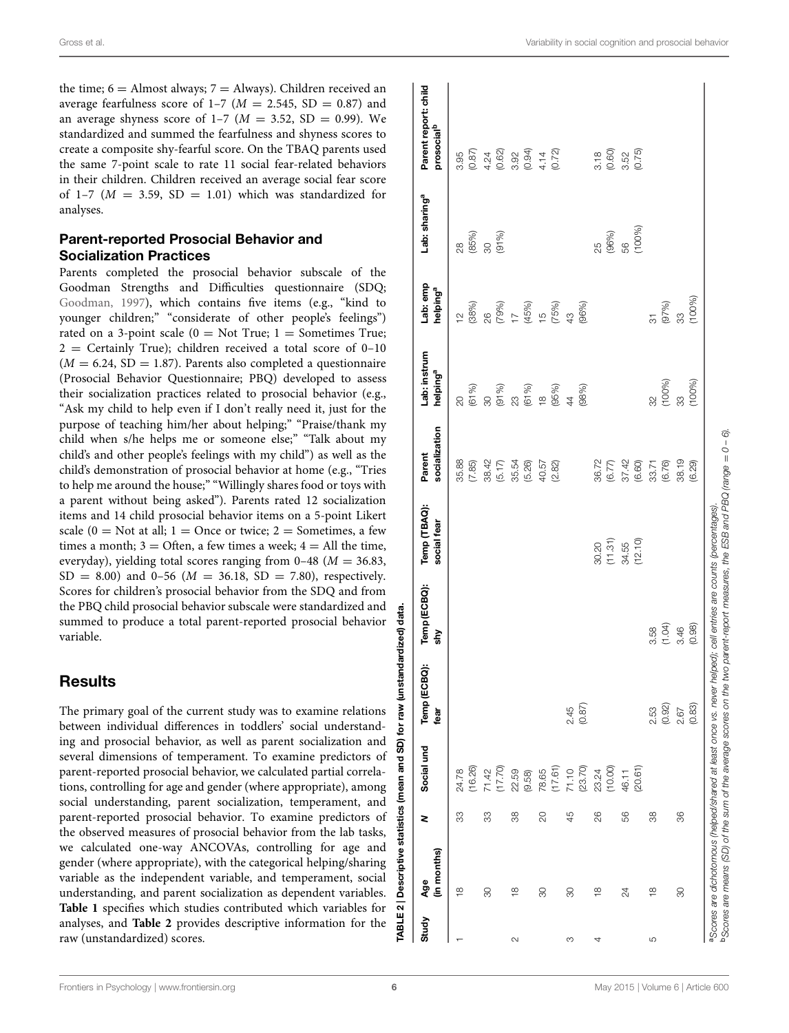the time;  $6 =$  Almost always;  $7 =$  Always). Children received an average fearfulness score of  $1-7$  ( $M = 2.545$ , SD = 0.87) and an average shyness score of  $1-7$  ( $M = 3.52$ , SD = 0.99). We standardized and summed the fearfulness and shyness scores to create a composite shy-fearful score. On the TBAQ parents used the same 7-point scale to rate 11 social fear-related behaviors in their children. Children received an average social fear score of  $1-7$  ( $M = 3.59$ ,  $SD = 1.01$ ) which was standardized for analyses.

# Parent-reported Prosocial Behavior and Socialization Practices

Parents completed the prosocial behavior subscale of the Goodman Strengths and Difficulties questionnaire (SDQ; [Goodman](#page-9-28), [1997](#page-9-28)), which contains five items (e.g., "kind to younger children;" "considerate of other people's feelings") rated on a 3-point scale  $(0 = Not True; 1 = Sometimes True;$  $2$  = Certainly True); children received a total score of 0-10  $(M = 6.24, SD = 1.87)$ . Parents also completed a questionnaire (Prosocial Behavior Questionnaire; PBQ) developed to assess their socialization practices related to prosocial behavior (e.g., "Ask my child to help even if I don't really need it, just for the purpose of teaching him/her about helping;" "Praise/thank my child when s/he helps me or someone else;" "Talk about my child's and other people's feelings with my child") as well as the child's demonstration of prosocial behavior at home (e.g., "Tries to help me around the house;" "Willingly shares food or toys with a parent without being asked"). Parents rated 12 socialization items and 14 child prosocial behavior items on a 5-point Likert scale ( $0 =$  Not at all;  $1 =$  Once or twice;  $2 =$  Sometimes, a few times a month;  $3 =$  Often, a few times a week;  $4 =$  All the time, everyday), yielding total scores ranging from 0–48 (*M* = 36.83,  $SD = 8.00$ ) and 0-56 ( $M = 36.18$ ,  $SD = 7.80$ ), respectively. Scores for children's prosocial behavior from the SDQ and from the PBQ child prosocial behavior subscale were standardized and summed to produce a total parent-reported prosocial behavior variable.

# **Results**

The primary goal of the current study was to examine relations between individual differences in toddlers' social understanding and prosocial behavior, as well as parent socialization and several dimensions of temperament. To examine predictors of parent-reported prosocial behavior, we calculated partial correlations, controlling for age and gender (where appropriate), among social understanding, parent socialization, temperament, and parent-reported prosocial behavior. To examine predictors of the observed measures of prosocial behavior from the lab tasks, we calculated one-way ANCOVAs, controlling for age and gender (where appropriate), with the categorical helping/sharing variable as the independent variable, and temperament, social understanding, and parent socialization as dependent variables. **[Table 1](#page-3-0)** specifies which studies contributed which variables for analyses, and **[Table 2](#page-5-0)** provides descriptive information for the raw (unstandardized) scores.

| Study  | (in months)<br>Age      |    |                            | N Social und Temp (ECBQ):<br>tear | Temp (ECBQ):<br>ξ | Temp (TBAQ):<br>social fear          | socialization<br>Parent                                 | Lab: instrum<br>helping <sup>a</sup> | Lab: emp<br>helping <sup>a</sup>                                                                                                 | Lab: sharing <sup>a</sup> | Parent report: child<br>prosocial <sup>b</sup>                                                |
|--------|-------------------------|----|----------------------------|-----------------------------------|-------------------|--------------------------------------|---------------------------------------------------------|--------------------------------------|----------------------------------------------------------------------------------------------------------------------------------|---------------------------|-----------------------------------------------------------------------------------------------|
|        | $\infty$                | 33 | (16.26)<br>24.78           |                                   |                   |                                      | 35.88<br>(7.85)                                         | $\overline{\mathcal{S}}$             |                                                                                                                                  | ු                         | 3.95                                                                                          |
|        | 30                      | 33 | 71.42                      |                                   |                   |                                      |                                                         |                                      |                                                                                                                                  | (85%)<br>30<br>(91%)      |                                                                                               |
| $\sim$ | ≌                       | 38 | (17.70)<br>22.59<br>(9.58) |                                   |                   |                                      | 38.42<br>(5.17)<br>(5.54<br>(5.26)                      |                                      | $\begin{array}{lll} 12 \\ 128\% \\ 26 \\ 26 \\ 79\% \\ 17 \\ 18\% \\ (15\%) \\ (15\%) \\ (15\%) \\ (26\%) \\ (96\%) \end{array}$ |                           | $\begin{array}{c} (0.87) \\ 4.24 \\ (0.62) \\ 0.92 \\ (0.94) \\ (0.72) \\ (0.72) \end{array}$ |
|        | 80                      | 8  | (17.61)<br>78.65           |                                   |                   |                                      | 40.57<br>(2.82)                                         |                                      |                                                                                                                                  |                           |                                                                                               |
| S      | 80                      | 45 | 71.10<br>(23.70)           | $2.45$<br>(0.87)                  |                   |                                      |                                                         |                                      |                                                                                                                                  |                           |                                                                                               |
| 4      | $\frac{8}{1}$           | 26 | (10.00)<br>23.24           |                                   |                   |                                      |                                                         |                                      |                                                                                                                                  | 25<br>(96%)               |                                                                                               |
|        | 24                      | 56 | (20.61)<br>46.11           |                                   |                   | 30.20<br>(11.31)<br>34.55<br>(12.10) |                                                         |                                      |                                                                                                                                  | (100%)<br>56              | $3.18$<br>$(0.60)$<br>$3.52$<br>$(0.75)$                                                      |
| 5      | $\frac{\infty}{\infty}$ | 38 |                            | (0.92)<br>2.53                    | (1.04)<br>3.58    |                                      | 36.72<br>(6.77)<br>(6.78)<br>(6.76)<br>(8.78)<br>(8.78) | $\frac{2}{3}$                        | $\frac{1}{2}$                                                                                                                    |                           |                                                                                               |
|        | 80                      | 86 |                            | (0.83)<br>2.67                    | (0.98)<br>3.46    |                                      | (6.29)                                                  | $(100%)$<br>33<br>(100%)             | (100%)<br>$(97%)$<br>33                                                                                                          |                           |                                                                                               |

TABLE 2 | Descriptive statistics (mean and SD) for raw (unstandardized) data.

<span id="page-5-0"></span>ទូ

statistics

**Descripti** 

 $E<sub>2</sub>$ **RA** 

 $\overline{5}$ 

data.

(unstandardized)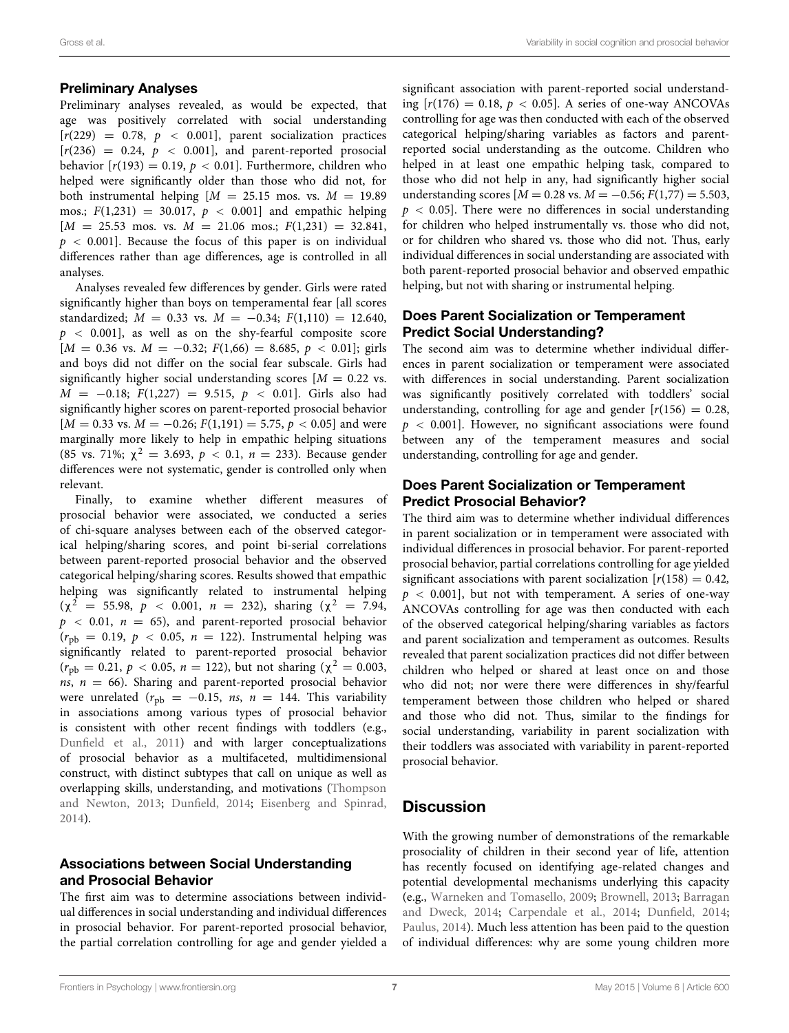#### Preliminary Analyses

Preliminary analyses revealed, as would be expected, that age was positively correlated with social understanding  $[r(229) = 0.78, p < 0.001]$ , parent socialization practices  $[r(236) = 0.24, p < 0.001]$ , and parent-reported prosocial behavior  $[r(193) = 0.19, p < 0.01]$ . Furthermore, children who helped were significantly older than those who did not, for both instrumental helping  $[M = 25.15 \text{ mos. vs. } M = 19.89$ mos.;  $F(1,231) = 30.017, p < 0.001$  and empathic helping  $[M = 25.53 \text{ mos. vs. } M = 21.06 \text{ mos.}; F(1,231) = 32.841,$  $p < 0.001$ . Because the focus of this paper is on individual differences rather than age differences, age is controlled in all analyses.

Analyses revealed few differences by gender. Girls were rated significantly higher than boys on temperamental fear [all scores standardized;  $M = 0.33$  vs.  $M = -0.34$ ;  $F(1,110) = 12.640$ , *p <* 0.001], as well as on the shy-fearful composite score  $[M = 0.36 \text{ vs. } M = -0.32; F(1,66) = 8.685, p < 0.01]; \text{ girls}$ and boys did not differ on the social fear subscale. Girls had significantly higher social understanding scores  $[M = 0.22$  vs. *M* = −0.18; *F*(1,227) = 9.515, *p* < 0.01]. Girls also had significantly higher scores on parent-reported prosocial behavior  $[M = 0.33$  vs.  $M = -0.26$ ;  $F(1,191) = 5.75$ ,  $p < 0.05$ ] and were marginally more likely to help in empathic helping situations (85 vs. 71%;  $\chi^2 = 3.693$ ,  $p < 0.1$ ,  $n = 233$ ). Because gender differences were not systematic, gender is controlled only when relevant.

Finally, to examine whether different measures of prosocial behavior were associated, we conducted a series of chi-square analyses between each of the observed categorical helping/sharing scores, and point bi-serial correlations between parent-reported prosocial behavior and the observed categorical helping/sharing scores. Results showed that empathic helping was significantly related to instrumental helping  $(\chi^2 = 55.98, p < 0.001, n = 232)$ , sharing  $(\chi^2 = 7.94,$  $p \le 0.01$ ,  $n = 65$ ), and parent-reported prosocial behavior  $(r_{\text{ph}} = 0.19, p < 0.05, n = 122)$ . Instrumental helping was significantly related to parent-reported prosocial behavior  $(r_{\text{ph}} = 0.21, p < 0.05, n = 122)$ , but not sharing ( $\chi^2 = 0.003$ , *ns*, *n* = 66). Sharing and parent-reported prosocial behavior were unrelated  $(r_{\text{pb}} = -0.15, \text{ns}, \text{n} = 144.$  This variability in associations among various types of prosocial behavior is consistent with other recent findings with toddlers (e.g., [Dunfield et al., 2011\)](#page-9-2) and with larger conceptualizations of prosocial behavior as a multifaceted, multidimensional construct, with distinct subtypes that call on unique as well as overlapping [skills, understanding, and motivations \(](#page-10-29)Thompson and Newton, [2013;](#page-10-29) [Dunfield](#page-9-29), [2014](#page-9-29); [Eisenberg and Spinrad,](#page-9-8) [2014](#page-9-8)).

### Associations between Social Understanding and Prosocial Behavior

The first aim was to determine associations between individual differences in social understanding and individual differences in prosocial behavior. For parent-reported prosocial behavior, the partial correlation controlling for age and gender yielded a significant association with parent-reported social understanding  $[r(176) = 0.18, p < 0.05]$ . A series of one-way ANCOVAs controlling for age was then conducted with each of the observed categorical helping/sharing variables as factors and parentreported social understanding as the outcome. Children who helped in at least one empathic helping task, compared to those who did not help in any, had significantly higher social understanding scores  $[M = 0.28 \text{ vs. } M = -0.56; F(1,77) = 5.503,$ *p <* 0.05]. There were no differences in social understanding for children who helped instrumentally vs. those who did not, or for children who shared vs. those who did not. Thus, early individual differences in social understanding are associated with both parent-reported prosocial behavior and observed empathic helping, but not with sharing or instrumental helping.

# Does Parent Socialization or Temperament Predict Social Understanding?

The second aim was to determine whether individual differences in parent socialization or temperament were associated with differences in social understanding. Parent socialization was significantly positively correlated with toddlers' social understanding, controlling for age and gender  $[r(156) = 0.28$ , *p <* 0.001]. However, no significant associations were found between any of the temperament measures and social understanding, controlling for age and gender.

# Does Parent Socialization or Temperament Predict Prosocial Behavior?

The third aim was to determine whether individual differences in parent socialization or in temperament were associated with individual differences in prosocial behavior. For parent-reported prosocial behavior, partial correlations controlling for age yielded significant associations with parent socialization  $[r(158) = 0.42]$ , *p <* 0.001], but not with temperament. A series of one-way ANCOVAs controlling for age was then conducted with each of the observed categorical helping/sharing variables as factors and parent socialization and temperament as outcomes. Results revealed that parent socialization practices did not differ between children who helped or shared at least once on and those who did not; nor were there were differences in shy/fearful temperament between those children who helped or shared and those who did not. Thus, similar to the findings for social understanding, variability in parent socialization with their toddlers was associated with variability in parent-reported prosocial behavior.

# **Discussion**

With the growing number of demonstrations of the remarkable prosociality of children in their second year of life, attention has recently focused on identifying age-related changes and potential developmental mechanisms underlying this capacity (e.g., [Warneken and Tomasello](#page-10-30)[,](#page-9-30) [2009](#page-10-30)[;](#page-9-30) [Brownell, 2013;](#page-9-9) Barragan and Dweck, [2014](#page-9-30); [Carpendale et al., 2014;](#page-9-31) [Dunfield](#page-9-29), [2014](#page-9-29); [Paulus](#page-10-31), [2014](#page-10-31)). Much less attention has been paid to the question of individual differences: why are some young children more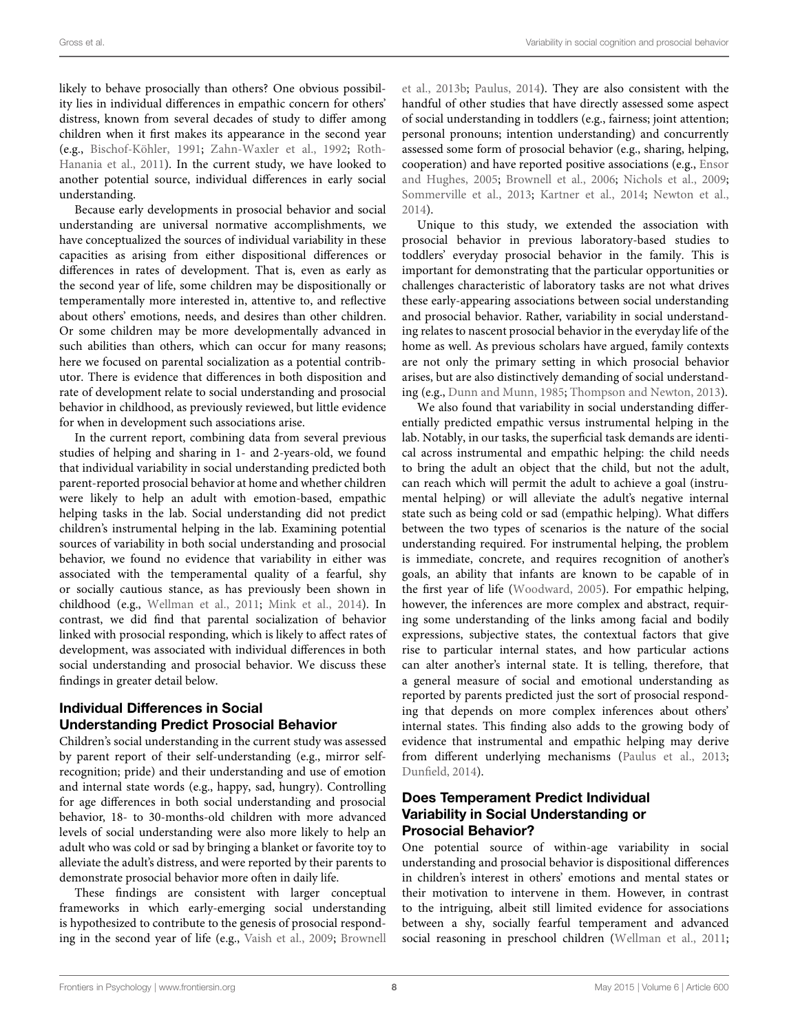likely to behave prosocially than others? One obvious possibility lies in individual differences in empathic concern for others' distress, known from several decades of study to differ among children when it first makes its appearance in the second year (e.g., [Bischof-Köhler](#page-9-5), [1991;](#page-9-5) [Zahn-Waxler et al., 1992](#page-10-7)[;](#page-10-32) Roth-Hanania et al., [2011](#page-10-32)). In the current study, we have looked to another potential source, individual differences in early social understanding.

Because early developments in prosocial behavior and social understanding are universal normative accomplishments, we have conceptualized the sources of individual variability in these capacities as arising from either dispositional differences or differences in rates of development. That is, even as early as the second year of life, some children may be dispositionally or temperamentally more interested in, attentive to, and reflective about others' emotions, needs, and desires than other children. Or some children may be more developmentally advanced in such abilities than others, which can occur for many reasons; here we focused on parental socialization as a potential contributor. There is evidence that differences in both disposition and rate of development relate to social understanding and prosocial behavior in childhood, as previously reviewed, but little evidence for when in development such associations arise.

In the current report, combining data from several previous studies of helping and sharing in 1- and 2-years-old, we found that individual variability in social understanding predicted both parent-reported prosocial behavior at home and whether children were likely to help an adult with emotion-based, empathic helping tasks in the lab. Social understanding did not predict children's instrumental helping in the lab. Examining potential sources of variability in both social understanding and prosocial behavior, we found no evidence that variability in either was associated with the temperamental quality of a fearful, shy or socially cautious stance, as has previously been shown in childhood (e.g., [Wellman et al., 2011;](#page-10-17) [Mink et al.](#page-10-18), [2014](#page-10-18)). In contrast, we did find that parental socialization of behavior linked with prosocial responding, which is likely to affect rates of development, was associated with individual differences in both social understanding and prosocial behavior. We discuss these findings in greater detail below.

# Individual Differences in Social Understanding Predict Prosocial Behavior

Children's social understanding in the current study was assessed by parent report of their self-understanding (e.g., mirror selfrecognition; pride) and their understanding and use of emotion and internal state words (e.g., happy, sad, hungry). Controlling for age differences in both social understanding and prosocial behavior, 18- to 30-months-old children with more advanced levels of social understanding were also more likely to help an adult who was cold or sad by bringing a blanket or favorite toy to alleviate the adult's distress, and were reported by their parents to demonstrate prosocial behavior more often in daily life.

These findings are consistent with larger conceptual frameworks in which early-emerging social understanding is hypothesized to contribute to the genesis of prosocial responding in the second year of life (e.g., [Vaish et al., 2009;](#page-10-33) Brownell

et al., [2013b](#page-9-3); [Paulus, 2014\)](#page-10-31). They are also consistent with the handful of other studies that have directly assessed some aspect of social understanding in toddlers (e.g., fairness; joint attention; personal pronouns; intention understanding) and concurrently assessed some form of prosocial behavior (e.g., sharing, helping, cooperation) and have reported positive associations (e.g., Ensor and Hughes, [2005;](#page-9-6) [Brownell et al.](#page-9-0), [2006](#page-9-0); [Nichols et al., 2009](#page-10-5); [Sommerville et al.](#page-10-6), [2013](#page-10-6); [Kartner et al., 2014;](#page-10-34) [Newton et al.](#page-10-35), [2014\)](#page-10-35).

Unique to this study, we extended the association with prosocial behavior in previous laboratory-based studies to toddlers' everyday prosocial behavior in the family. This is important for demonstrating that the particular opportunities or challenges characteristic of laboratory tasks are not what drives these early-appearing associations between social understanding and prosocial behavior. Rather, variability in social understanding relates to nascent prosocial behavior in the everyday life of the home as well. As previous scholars have argued, family contexts are not only the primary setting in which prosocial behavior arises, but are also distinctively demanding of social understanding (e.g., [Dunn and Munn](#page-9-32), [1985;](#page-9-32) [Thompson and Newton](#page-10-29), [2013\)](#page-10-29).

We also found that variability in social understanding differentially predicted empathic versus instrumental helping in the lab. Notably, in our tasks, the superficial task demands are identical across instrumental and empathic helping: the child needs to bring the adult an object that the child, but not the adult, can reach which will permit the adult to achieve a goal (instrumental helping) or will alleviate the adult's negative internal state such as being cold or sad (empathic helping). What differs between the two types of scenarios is the nature of the social understanding required. For instrumental helping, the problem is immediate, concrete, and requires recognition of another's goals, an ability that infants are known to be capable of in the first year of life [\(Woodward](#page-10-36), [2005](#page-10-36)). For empathic helping, however, the inferences are more complex and abstract, requiring some understanding of the links among facial and bodily expressions, subjective states, the contextual factors that give rise to particular internal states, and how particular actions can alter another's internal state. It is telling, therefore, that a general measure of social and emotional understanding as reported by parents predicted just the sort of prosocial responding that depends on more complex inferences about others' internal states. This finding also adds to the growing body of evidence that instrumental and empathic helping may derive from different underlying mechanisms [\(Paulus et al.](#page-10-8), [2013](#page-10-8); [Dunfield](#page-9-29), [2014\)](#page-9-29).

# Does Temperament Predict Individual Variability in Social Understanding or Prosocial Behavior?

One potential source of within-age variability in social understanding and prosocial behavior is dispositional differences in children's interest in others' emotions and mental states or their motivation to intervene in them. However, in contrast to the intriguing, albeit still limited evidence for associations between a shy, socially fearful temperament and advanced social reasoning in preschool children [\(Wellman et al.](#page-10-17), [2011](#page-10-17);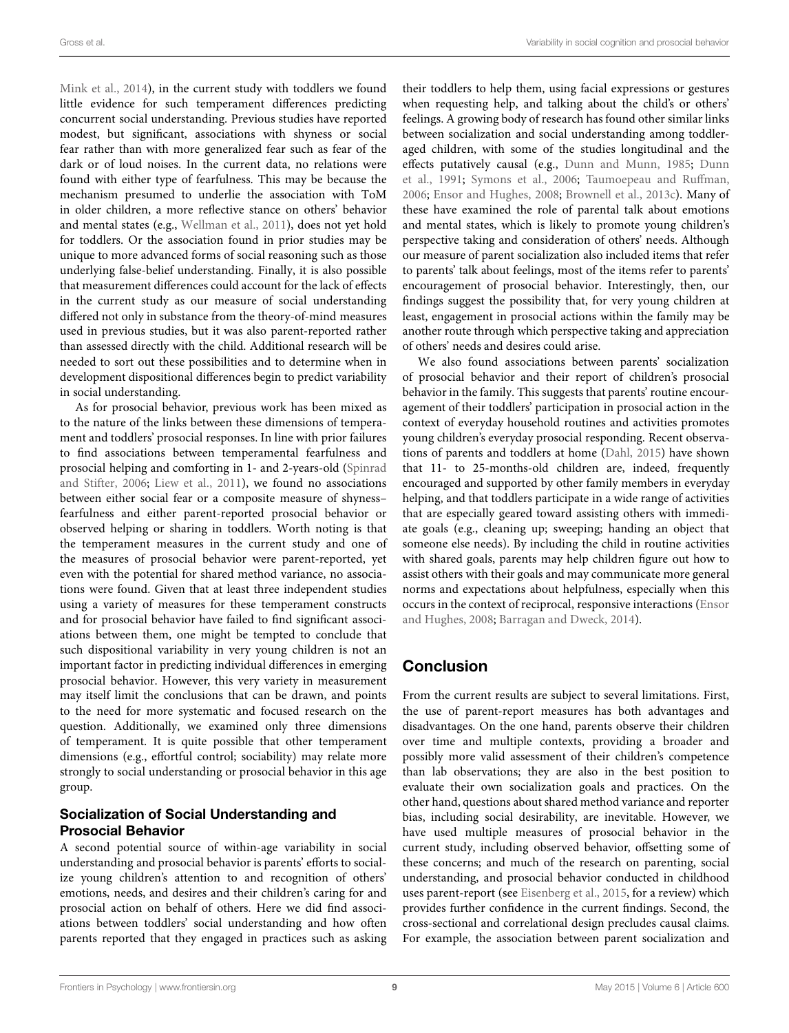[Mink et al., 2014](#page-10-18)), in the current study with toddlers we found little evidence for such temperament differences predicting concurrent social understanding. Previous studies have reported modest, but significant, associations with shyness or social fear rather than with more generalized fear such as fear of the dark or of loud noises. In the current data, no relations were found with either type of fearfulness. This may be because the mechanism presumed to underlie the association with ToM in older children, a more reflective stance on others' behavior and mental states (e.g., [Wellman et al.](#page-10-17), [2011](#page-10-17)), does not yet hold for toddlers. Or the association found in prior studies may be unique to more advanced forms of social reasoning such as those underlying false-belief understanding. Finally, it is also possible that measurement differences could account for the lack of effects in the current study as our measure of social understanding differed not only in substance from the theory-of-mind measures used in previous studies, but it was also parent-reported rather than assessed directly with the child. Additional research will be needed to sort out these possibilities and to determine when in development dispositional differences begin to predict variability in social understanding.

As for prosocial behavior, previous work has been mixed as to the nature of the links between these dimensions of temperament and toddlers' prosocial responses. In line with prior failures to find associations between temperamental fearfulness and prosocial [helping](#page-10-20) [and](#page-10-20) [comforting](#page-10-20) [in](#page-10-20) [1-](#page-10-20) [and](#page-10-20) [2-years-old](#page-10-20) [\(](#page-10-20)Spinrad and Stifter, [2006;](#page-10-20) [Liew et al.](#page-10-22), [2011](#page-10-22)), we found no associations between either social fear or a composite measure of shyness– fearfulness and either parent-reported prosocial behavior or observed helping or sharing in toddlers. Worth noting is that the temperament measures in the current study and one of the measures of prosocial behavior were parent-reported, yet even with the potential for shared method variance, no associations were found. Given that at least three independent studies using a variety of measures for these temperament constructs and for prosocial behavior have failed to find significant associations between them, one might be tempted to conclude that such dispositional variability in very young children is not an important factor in predicting individual differences in emerging prosocial behavior. However, this very variety in measurement may itself limit the conclusions that can be drawn, and points to the need for more systematic and focused research on the question. Additionally, we examined only three dimensions of temperament. It is quite possible that other temperament dimensions (e.g., effortful control; sociability) may relate more strongly to social understanding or prosocial behavior in this age group.

# Socialization of Social Understanding and Prosocial Behavior

A second potential source of within-age variability in social understanding and prosocial behavior is parents' efforts to socialize young children's attention to and recognition of others' emotions, needs, and desires and their children's caring for and prosocial action on behalf of others. Here we did find associations between toddlers' social understanding and how often parents reported that they engaged in practices such as asking their toddlers to help them, using facial expressions or gestures when requesting help, and talking about the child's or others' feelings. A growing body of research has found other similar links between socialization and social understanding among toddleraged children, with some of the studies longitudinal and the effects putatively causal (e.g., [Dunn and Munn](#page-9-32), [1985](#page-9-32); Dunn et al., [1991](#page-9-33); [Symons et al., 2006;](#page-10-37) [Taumoepeau and Ruffman](#page-10-14), [2006](#page-10-14); [Ensor and Hughes, 2008](#page-9-23); [Brownell et al., 2013c\)](#page-9-18). Many of these have examined the role of parental talk about emotions and mental states, which is likely to promote young children's perspective taking and consideration of others' needs. Although our measure of parent socialization also included items that refer to parents' talk about feelings, most of the items refer to parents' encouragement of prosocial behavior. Interestingly, then, our findings suggest the possibility that, for very young children at least, engagement in prosocial actions within the family may be another route through which perspective taking and appreciation of others' needs and desires could arise.

We also found associations between parents' socialization of prosocial behavior and their report of children's prosocial behavior in the family. This suggests that parents' routine encouragement of their toddlers' participation in prosocial action in the context of everyday household routines and activities promotes young children's everyday prosocial responding. Recent observations of parents and toddlers at home [\(Dahl](#page-9-16), [2015\)](#page-9-16) have shown that 11- to 25-months-old children are, indeed, frequently encouraged and supported by other family members in everyday helping, and that toddlers participate in a wide range of activities that are especially geared toward assisting others with immediate goals (e.g., cleaning up; sweeping; handing an object that someone else needs). By including the child in routine activities with shared goals, parents may help children figure out how to assist others with their goals and may communicate more general norms and expectations about helpfulness, especially when this occurs in th[e context of reciprocal, responsive interactions \(](#page-9-23)Ensor and Hughes, [2008](#page-9-23); [Barragan and Dweck](#page-9-30), [2014](#page-9-30)).

# **Conclusion**

From the current results are subject to several limitations. First, the use of parent-report measures has both advantages and disadvantages. On the one hand, parents observe their children over time and multiple contexts, providing a broader and possibly more valid assessment of their children's competence than lab observations; they are also in the best position to evaluate their own socialization goals and practices. On the other hand, questions about shared method variance and reporter bias, including social desirability, are inevitable. However, we have used multiple measures of prosocial behavior in the current study, including observed behavior, offsetting some of these concerns; and much of the research on parenting, social understanding, and prosocial behavior conducted in childhood uses parent-report (see [Eisenberg et al.](#page-9-4), [2015,](#page-9-4) for a review) which provides further confidence in the current findings. Second, the cross-sectional and correlational design precludes causal claims. For example, the association between parent socialization and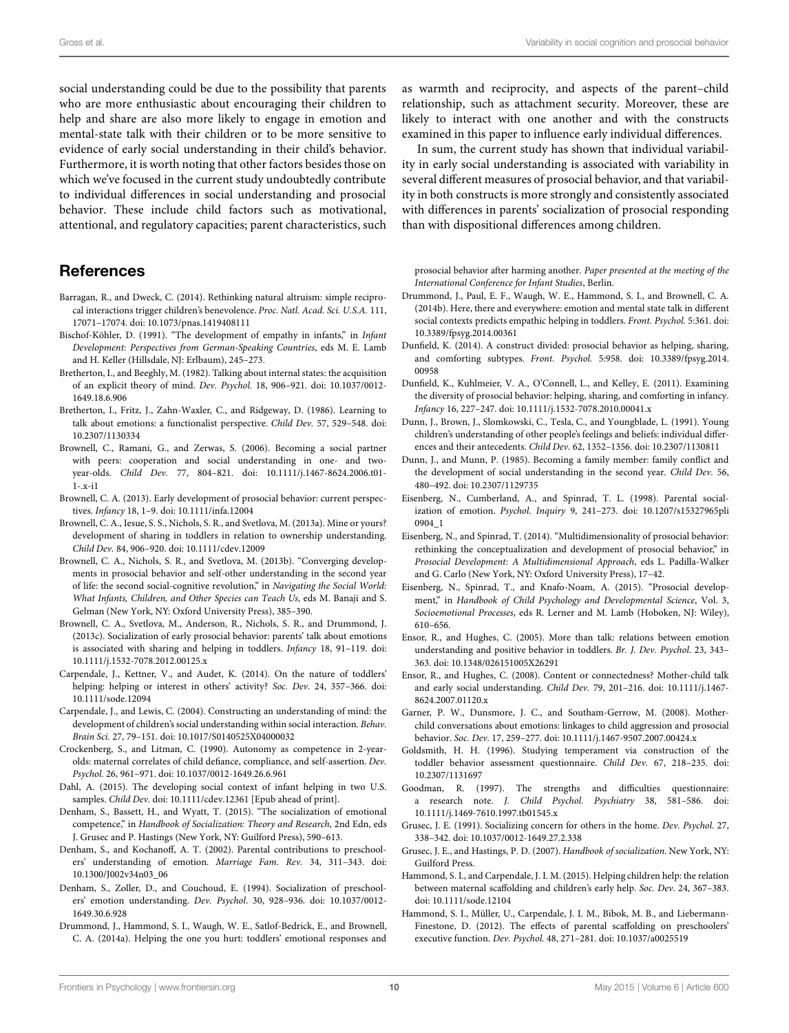social understanding could be due to the possibility that parents who are more enthusiastic about encouraging their children to help and share are also more likely to engage in emotion and mental-state talk with their children or to be more sensitive to evidence of early social understanding in their child's behavior. Furthermore, it is worth noting that other factors besides those on which we've focused in the current study undoubtedly contribute to individual differences in social understanding and prosocial behavior. These include child factors such as motivational, attentional, and regulatory capacities; parent characteristics, such

# **References**

- <span id="page-9-30"></span>Barragan, R., and Dweck, C. (2014). Rethinking natural altruism: simple reciprocal interactions trigger children's benevolence. *Proc. Natl. Acad. Sci. U.S.A.* 111, 17071–17074. doi: 10.1073/pnas.1419408111
- <span id="page-9-5"></span>Bischof-Köhler, D. (1991). "The development of empathy in infants," in *Infant Development: Perspectives from German-Speaking Countries*, eds M. E. Lamb and H. Keller (Hillsdale, NJ: Erlbaum), 245–273.
- <span id="page-9-26"></span>Bretherton, I., and Beeghly, M. (1982). Talking about internal states: the acquisition of an explicit theory of mind. *Dev. Psychol.* 18, 906–921. doi: 10.1037/0012- 1649.18.6.906
- <span id="page-9-24"></span>Bretherton, I., Fritz, J., Zahn-Waxler, C., and Ridgeway, D. (1986). Learning to talk about emotions: a functionalist perspective. *Child Dev.* 57, 529–548. doi: 10.2307/1130334
- <span id="page-9-0"></span>Brownell, C., Ramani, G., and Zerwas, S. (2006). Becoming a social partner with peers: cooperation and social understanding in one- and twoyear-olds. *Child Dev.* 77, 804–821. doi: 10.1111/j.1467-8624.2006.t01- 1-.x-i1
- <span id="page-9-9"></span>Brownell, C. A. (2013). Early development of prosocial behavior: current perspectives. *Infancy* 18, 1–9. doi: 10.1111/infa.12004
- <span id="page-9-1"></span>Brownell, C. A., Iesue, S. S., Nichols, S. R., and Svetlova, M. (2013a). Mine or yours? development of sharing in toddlers in relation to ownership understanding. *Child Dev.* 84, 906–920. doi: 10.1111/cdev.12009
- <span id="page-9-3"></span>Brownell, C. A., Nichols, S. R., and Svetlova, M. (2013b). "Converging developments in prosocial behavior and self-other understanding in the second year of life: the second social-cognitive revolution," in *Navigating the Social World: What Infants, Children, and Other Species can Teach Us*, eds M. Banaji and S. Gelman (New York, NY: Oxford University Press), 385–390.
- <span id="page-9-18"></span>Brownell, C. A., Svetlova, M., Anderson, R., Nichols, S. R., and Drummond, J. (2013c). Socialization of early prosocial behavior: parents' talk about emotions is associated with sharing and helping in toddlers. *Infancy* 18, 91–119. doi: 10.1111/j.1532-7078.2012.00125.x
- <span id="page-9-31"></span>Carpendale, J., Kettner, V., and Audet, K. (2014). On the nature of toddlers' helping: helping or interest in others' activity? *Soc. Dev*. 24, 357–366. doi: 10.1111/sode.12094
- <span id="page-9-20"></span>Carpendale, J., and Lewis, C. (2004). Constructing an understanding of mind: the development of children's social understanding within social interaction. *Behav. Brain Sci.* 27, 79–151. doi: 10.1017/S0140525X04000032
- <span id="page-9-13"></span>Crockenberg, S., and Litman, C. (1990). Autonomy as competence in 2-yearolds: maternal correlates of child defiance, compliance, and self-assertion. *Dev. Psychol.* 26, 961–971. doi: 10.1037/0012-1649.26.6.961
- <span id="page-9-16"></span>Dahl, A. (2015). The developing social context of infant helping in two U.S. samples. *Child Dev.* doi: 10.1111/cdev.12361 [Epub ahead of print].
- <span id="page-9-10"></span>Denham, S., Bassett, H., and Wyatt, T. (2015). "The socialization of emotional competence," in *Handbook of Socialization: Theory and Research*, 2nd Edn, eds J. Grusec and P. Hastings (New York, NY: Guilford Press), 590–613.
- <span id="page-9-22"></span>Denham, S., and Kochanoff, A. T. (2002). Parental contributions to preschoolers' understanding of emotion. *Marriage Fam. Rev.* 34, 311–343. doi: 10.1300/J002v34n03\_06
- <span id="page-9-21"></span>Denham, S., Zoller, D., and Couchoud, E. (1994). Socialization of preschoolers' emotion understanding. *Dev. Psychol*. 30, 928–936. doi: 10.1037/0012- 1649.30.6.928
- <span id="page-9-25"></span>Drummond, J., Hammond, S. I., Waugh, W. E., Satlof-Bedrick, E., and Brownell, C. A. (2014a). Helping the one you hurt: toddlers' emotional responses and

as warmth and reciprocity, and aspects of the parent–child relationship, such as attachment security. Moreover, these are likely to interact with one another and with the constructs examined in this paper to influence early individual differences.

In sum, the current study has shown that individual variability in early social understanding is associated with variability in several different measures of prosocial behavior, and that variability in both constructs is more strongly and consistently associated with differences in parents' socialization of prosocial responding than with dispositional differences among children.

prosocial behavior after harming another. *Paper presented at the meeting of the International Conference for Infant Studies*, Berlin.

- <span id="page-9-19"></span>Drummond, J., Paul, E. F., Waugh, W. E., Hammond, S. I., and Brownell, C. A. (2014b). Here, there and everywhere: emotion and mental state talk in different social contexts predicts empathic helping in toddlers. *Front. Psychol.* 5:361. doi: 10.3389/fpsyg.2014.00361
- <span id="page-9-29"></span>Dunfield, K. (2014). A construct divided: prosocial behavior as helping, sharing, and comforting subtypes. *Front. Psychol.* 5:958. doi: 10.3389/fpsyg.2014. 00958
- <span id="page-9-2"></span>Dunfield, K., Kuhlmeier, V. A., O'Connell, L., and Kelley, E. (2011). Examining the diversity of prosocial behavior: helping, sharing, and comforting in infancy. *Infancy* 16, 227–247. doi: 10.1111/j.1532-7078.2010.00041.x
- <span id="page-9-33"></span>Dunn, J., Brown, J., Slomkowski, C., Tesla, C., and Youngblade, L. (1991). Young children's understanding of other people's feelings and beliefs: individual differences and their antecedents. *Child Dev.* 62, 1352–1356. doi: 10.2307/1130811
- <span id="page-9-32"></span>Dunn, J., and Munn, P. (1985). Becoming a family member: family conflict and the development of social understanding in the second year. *Child Dev.* 56, 480–492. doi: 10.2307/1129735
- <span id="page-9-11"></span>Eisenberg, N., Cumberland, A., and Spinrad, T. L. (1998). Parental socialization of emotion. *Psychol. Inquiry* 9, 241–273. doi: 10.1207/s15327965pli 0904\_1
- <span id="page-9-8"></span>Eisenberg, N., and Spinrad, T. (2014). "Multidimensionality of prosocial behavior: rethinking the conceptualization and development of prosocial behavior," in *Prosocial Development: A Multidimensional Approach*, eds L. Padilla-Walker and G. Carlo (New York, NY: Oxford University Press), 17–42.
- <span id="page-9-4"></span>Eisenberg, N., Spinrad, T., and Knafo-Noam, A. (2015). "Prosocial development," in *Handbook of Child Psychology and Developmental Science*, Vol. 3, *Socioemotional Processes*, eds R. Lerner and M. Lamb (Hoboken, NJ: Wiley), 610–656.
- <span id="page-9-6"></span>Ensor, R., and Hughes, C. (2005). More than talk: relations between emotion understanding and positive behavior in toddlers. *Br. J. Dev. Psychol.* 23, 343– 363. doi: 10.1348/026151005X26291
- <span id="page-9-23"></span>Ensor, R., and Hughes, C. (2008). Content or connectedness? Mother-child talk and early social understanding. *Child Dev.* 79, 201–216. doi: 10.1111/j.1467- 8624.2007.01120.x
- <span id="page-9-7"></span>Garner, P. W., Dunsmore, J. C., and Southam-Gerrow, M. (2008). Motherchild conversations about emotions: linkages to child aggression and prosocial behavior. *Soc. Dev.* 17, 259–277. doi: 10.1111/j.1467-9507.2007.00424.x
- <span id="page-9-27"></span>Goldsmith, H. H. (1996). Studying temperament via construction of the toddler behavior assessment questionnaire. *Child Dev.* 67, 218–235. doi: 10.2307/1131697
- <span id="page-9-28"></span>Goodman, R. (1997). The strengths and difficulties questionnaire: a research note. *J. Child Psychol. Psychiatry* 38, 581–586. doi: 10.1111/j.1469-7610.1997.tb01545.x
- <span id="page-9-15"></span>Grusec, J. E. (1991). Socializing concern for others in the home. *Dev. Psychol.* 27, 338–342. doi: 10.1037/0012-1649.27.2.338
- <span id="page-9-12"></span>Grusec, J. E., and Hastings, P. D. (2007). *Handbook of socialization*. New York, NY: Guilford Press.
- <span id="page-9-17"></span>Hammond, S. I., and Carpendale, J. I. M. (2015). Helping children help: the relation between maternal scaffolding and children's early help. *Soc. Dev*. 24, 367–383. doi: 10.1111/sode.12104
- <span id="page-9-14"></span>Hammond, S. I., Müller, U., Carpendale, J. I. M., Bibok, M. B., and Liebermann-Finestone, D. (2012). The effects of parental scaffolding on preschoolers' executive function. *Dev. Psychol.* 48, 271–281. doi: 10.1037/a0025519